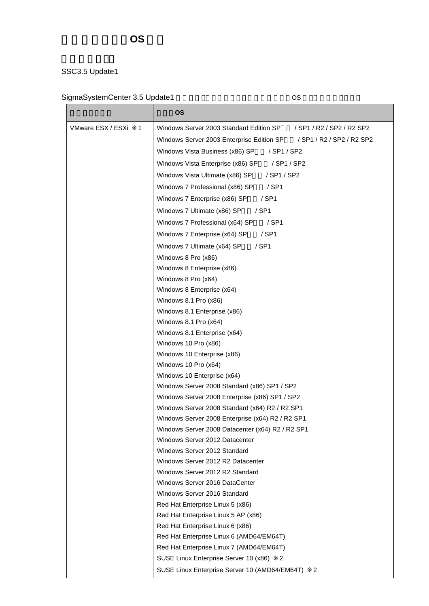## SSC3.5 Update1

## SigmaSystemCenter 3.5 Update1 6 0S É

|                        | <b>OS</b>                                                              |  |
|------------------------|------------------------------------------------------------------------|--|
| VMware ESX / ESXi<br>1 | Windows Server 2003 Standard Edition SP<br>/ SP1 / R2 / SP2 / R2 SP2   |  |
|                        | Windows Server 2003 Enterprise Edition SP<br>/ SP1 / R2 / SP2 / R2 SP2 |  |
|                        | Windows Vista Business (x86) SP<br>/ SP1 / SP2                         |  |
|                        | / SP1 / SP2<br>Windows Vista Enterprise (x86) SP                       |  |
|                        | Windows Vista Ultimate (x86) SP<br>/ SP1 / SP2                         |  |
|                        | Windows 7 Professional (x86) SP<br>$/$ SP1                             |  |
|                        | Windows 7 Enterprise (x86) SP<br>$/$ SP1                               |  |
|                        | Windows 7 Ultimate (x86) SP<br>$/$ SP1                                 |  |
|                        | Windows 7 Professional (x64) SP<br>$/$ SP1                             |  |
|                        | $/$ SP1                                                                |  |
|                        | Windows 7 Enterprise (x64) SP                                          |  |
|                        | Windows 7 Ultimate (x64) SP<br>$/$ SP1                                 |  |
|                        | Windows 8 Pro (x86)                                                    |  |
|                        | Windows 8 Enterprise (x86)                                             |  |
|                        | Windows 8 Pro (x64)<br>Windows 8 Enterprise (x64)                      |  |
|                        | Windows 8.1 Pro (x86)                                                  |  |
|                        | Windows 8.1 Enterprise (x86)                                           |  |
|                        | Windows 8.1 Pro (x64)                                                  |  |
|                        | Windows 8.1 Enterprise (x64)                                           |  |
|                        | Windows 10 Pro (x86)                                                   |  |
|                        | Windows 10 Enterprise (x86)                                            |  |
|                        | Windows 10 Pro (x64)                                                   |  |
|                        | Windows 10 Enterprise (x64)                                            |  |
|                        | Windows Server 2008 Standard (x86) SP1 / SP2                           |  |
|                        | Windows Server 2008 Enterprise (x86) SP1 / SP2                         |  |
|                        | Windows Server 2008 Standard (x64) R2 / R2 SP1                         |  |
|                        | Windows Server 2008 Enterprise (x64) R2 / R2 SP1                       |  |
|                        | Windows Server 2008 Datacenter (x64) R2 / R2 SP1                       |  |
|                        | Windows Server 2012 Datacenter                                         |  |
|                        | Windows Server 2012 Standard                                           |  |
|                        | Windows Server 2012 R2 Datacenter                                      |  |
|                        | Windows Server 2012 R2 Standard                                        |  |
|                        | Windows Server 2016 DataCenter                                         |  |
|                        | Windows Server 2016 Standard<br>Red Hat Enterprise Linux 5 (x86)       |  |
|                        | Red Hat Enterprise Linux 5 AP (x86)                                    |  |
|                        | Red Hat Enterprise Linux 6 (x86)                                       |  |
|                        | Red Hat Enterprise Linux 6 (AMD64/EM64T)                               |  |
|                        | Red Hat Enterprise Linux 7 (AMD64/EM64T)                               |  |
|                        | SUSE Linux Enterprise Server 10 (x86)<br>2                             |  |
|                        | SUSE Linux Enterprise Server 10 (AMD64/EM64T)<br>2                     |  |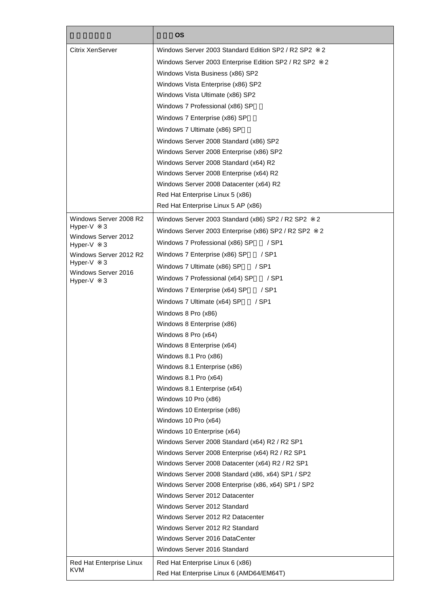|                                     | <b>OS</b>                                                                         |  |  |
|-------------------------------------|-----------------------------------------------------------------------------------|--|--|
| <b>Citrix XenServer</b>             | Windows Server 2003 Standard Edition SP2 / R2 SP2<br>2                            |  |  |
|                                     | Windows Server 2003 Enterprise Edition SP2 / R2 SP2<br>2                          |  |  |
|                                     | Windows Vista Business (x86) SP2                                                  |  |  |
|                                     | Windows Vista Enterprise (x86) SP2                                                |  |  |
|                                     | Windows Vista Ultimate (x86) SP2                                                  |  |  |
|                                     | Windows 7 Professional (x86) SP                                                   |  |  |
|                                     | Windows 7 Enterprise (x86) SP                                                     |  |  |
|                                     | Windows 7 Ultimate (x86) SP                                                       |  |  |
|                                     | Windows Server 2008 Standard (x86) SP2                                            |  |  |
|                                     |                                                                                   |  |  |
|                                     | Windows Server 2008 Enterprise (x86) SP2<br>Windows Server 2008 Standard (x64) R2 |  |  |
|                                     |                                                                                   |  |  |
|                                     | Windows Server 2008 Enterprise (x64) R2                                           |  |  |
|                                     | Windows Server 2008 Datacenter (x64) R2                                           |  |  |
|                                     | Red Hat Enterprise Linux 5 (x86)                                                  |  |  |
|                                     | Red Hat Enterprise Linux 5 AP (x86)                                               |  |  |
| Windows Server 2008 R2              | Windows Server 2003 Standard (x86) SP2 / R2 SP2<br>2                              |  |  |
| Hyper-V<br>3<br>Windows Server 2012 | Windows Server 2003 Enterprise (x86) SP2 / R2 SP2<br>$\overline{2}$               |  |  |
| Hyper-V<br>3                        | Windows 7 Professional (x86) SP<br>/ SP1                                          |  |  |
| Windows Server 2012 R2              | $/$ SP1<br>Windows 7 Enterprise (x86) SP                                          |  |  |
| Hyper-V<br>3                        | Windows 7 Ultimate (x86) SP<br>/ SP1                                              |  |  |
| Windows Server 2016<br>Hyper-V<br>3 | Windows 7 Professional (x64) SP<br>/ SP1                                          |  |  |
|                                     | / SP1<br>Windows 7 Enterprise (x64) SP                                            |  |  |
|                                     | $/$ SP1<br>Windows 7 Ultimate (x64) SP                                            |  |  |
|                                     | Windows 8 Pro (x86)                                                               |  |  |
|                                     | Windows 8 Enterprise (x86)                                                        |  |  |
|                                     | Windows 8 Pro (x64)                                                               |  |  |
|                                     | Windows 8 Enterprise (x64)                                                        |  |  |
|                                     | Windows 8.1 Pro (x86)                                                             |  |  |
|                                     | Windows 8.1 Enterprise (x86)                                                      |  |  |
|                                     | Windows 8.1 Pro (x64)                                                             |  |  |
|                                     | Windows 8.1 Enterprise (x64)                                                      |  |  |
|                                     | Windows 10 Pro (x86)                                                              |  |  |
|                                     | Windows 10 Enterprise (x86)                                                       |  |  |
|                                     | Windows 10 Pro (x64)                                                              |  |  |
|                                     | Windows 10 Enterprise (x64)                                                       |  |  |
|                                     | Windows Server 2008 Standard (x64) R2 / R2 SP1                                    |  |  |
|                                     | Windows Server 2008 Enterprise (x64) R2 / R2 SP1                                  |  |  |
|                                     | Windows Server 2008 Datacenter (x64) R2 / R2 SP1                                  |  |  |
|                                     | Windows Server 2008 Standard (x86, x64) SP1 / SP2                                 |  |  |
|                                     | Windows Server 2008 Enterprise (x86, x64) SP1 / SP2                               |  |  |
|                                     | Windows Server 2012 Datacenter                                                    |  |  |
|                                     | Windows Server 2012 Standard                                                      |  |  |
|                                     | Windows Server 2012 R2 Datacenter                                                 |  |  |
|                                     | Windows Server 2012 R2 Standard                                                   |  |  |
|                                     | Windows Server 2016 DataCenter                                                    |  |  |
|                                     | Windows Server 2016 Standard                                                      |  |  |
| Red Hat Enterprise Linux            | Red Hat Enterprise Linux 6 (x86)                                                  |  |  |
| KVM                                 | Red Hat Enterprise Linux 6 (AMD64/EM64T)                                          |  |  |